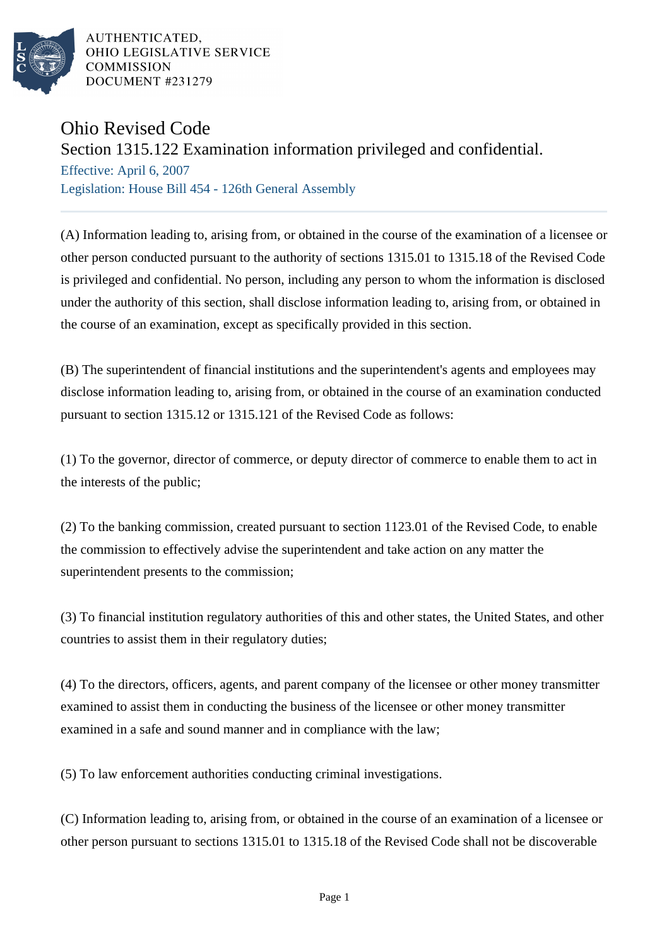

AUTHENTICATED. OHIO LEGISLATIVE SERVICE **COMMISSION DOCUMENT #231279** 

## Ohio Revised Code

## Section 1315.122 Examination information privileged and confidential.

Effective: April 6, 2007 Legislation: House Bill 454 - 126th General Assembly

(A) Information leading to, arising from, or obtained in the course of the examination of a licensee or other person conducted pursuant to the authority of sections 1315.01 to 1315.18 of the Revised Code is privileged and confidential. No person, including any person to whom the information is disclosed under the authority of this section, shall disclose information leading to, arising from, or obtained in the course of an examination, except as specifically provided in this section.

(B) The superintendent of financial institutions and the superintendent's agents and employees may disclose information leading to, arising from, or obtained in the course of an examination conducted pursuant to section 1315.12 or 1315.121 of the Revised Code as follows:

(1) To the governor, director of commerce, or deputy director of commerce to enable them to act in the interests of the public;

(2) To the banking commission, created pursuant to section 1123.01 of the Revised Code, to enable the commission to effectively advise the superintendent and take action on any matter the superintendent presents to the commission;

(3) To financial institution regulatory authorities of this and other states, the United States, and other countries to assist them in their regulatory duties;

(4) To the directors, officers, agents, and parent company of the licensee or other money transmitter examined to assist them in conducting the business of the licensee or other money transmitter examined in a safe and sound manner and in compliance with the law;

(5) To law enforcement authorities conducting criminal investigations.

(C) Information leading to, arising from, or obtained in the course of an examination of a licensee or other person pursuant to sections 1315.01 to 1315.18 of the Revised Code shall not be discoverable